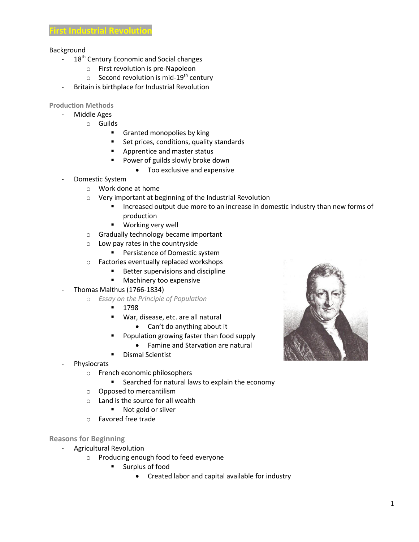## Background

- 18<sup>th</sup> Century Economic and Social changes
	- o First revolution is pre-Napoleon
	- $\circ$  Second revolution is mid-19<sup>th</sup> century
- Britain is birthplace for Industrial Revolution

**Production Methods**

- Middle Ages
	- o Guilds
		- **Granted monopolies by king**
		- Set prices, conditions, quality standards
		- **Apprentice and master status**
		- **Power of guilds slowly broke down** 
			- Too exclusive and expensive
- Domestic System
	- o Work done at home
	- o Very important at beginning of the Industrial Revolution
		- **Increased output due more to an increase in domestic industry than new forms of** production
		- **Working very well**
	- o Gradually technology became important
	- o Low pay rates in the countryside
		- **Persistence of Domestic system**
	- o Factories eventually replaced workshops
		- Better supervisions and discipline
		- **Machinery too expensive**
- Thomas Malthus (1766-1834)
	- o *Essay on the Principle of Population*
		- $-1798$
		- War, disease, etc. are all natural
			- Can't do anything about it
			- Population growing faster than food supply
				- Famine and Starvation are natural
		- Dismal Scientist
- Physiocrats
	- o French economic philosophers
		- **EXEC** Searched for natural laws to explain the economy
	- o Opposed to mercantilism
	- o Land is the source for all wealth
		- Not gold or silver
	- o Favored free trade

## **Reasons for Beginning**

- Agricultural Revolution
	- o Producing enough food to feed everyone
		- **Surplus of food** 
			- Created labor and capital available for industry

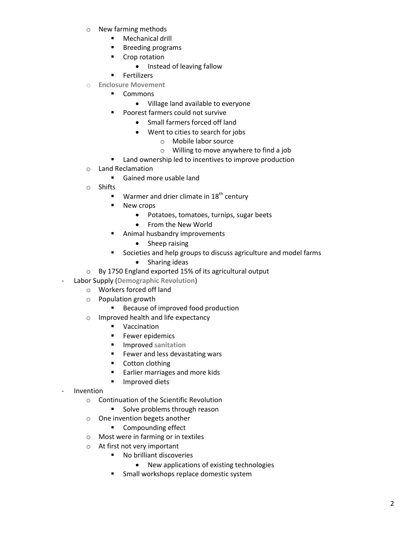- o New farming methods
	- **Nechanical drill**
	- **Breeding programs**
	- **•** Crop rotation
		- Instead of leaving fallow
	- **Fertilizers**
- o **Enclosure Movement**
	- **Commons** 
		- Village land available to everyone
	- **Poorest farmers could not survive** 
		- Small farmers forced off land
		- Went to cities to search for jobs
			- o Mobile labor source
			- o Willing to move anywhere to find a job
	- **E** Land ownership led to incentives to improve production
- o Land Reclamation
	- Gained more usable land
- o Shifts
	- **Warmer and drier climate in 18<sup>th</sup> century**
	- **New crops** 
		- Potatoes, tomatoes, turnips, sugar beets
		- From the New World
	- **Animal husbandry improvements** 
		- Sheep raising
	- Societies and help groups to discuss agriculture and model farms
		- Sharing ideas
- o By 1750 England exported 15% of its agricultural output
- Labor Supply (**Demographic Revolution**)
	- o Workers forced off land
	- o Population growth
		- **Because of improved food production**
	- o Improved health and life expectancy
		- **vaccination**
		- **Fewer epidemics**
		- $I$  Improved sanitation
		- **Fewer and less devastating wars**
		- **•** Cotton clothing
		- **Earlier marriages and more kids**
		- **Improved diets**
- **Invention** 
	- o Continuation of the Scientific Revolution
		- **Solve problems through reason**
	- o One invention begets another
		- **Compounding effect**
	- o Most were in farming or in textiles
	- o At first not very important
		- No brilliant discoveries
			- New applications of existing technologies
		- **F** Small workshops replace domestic system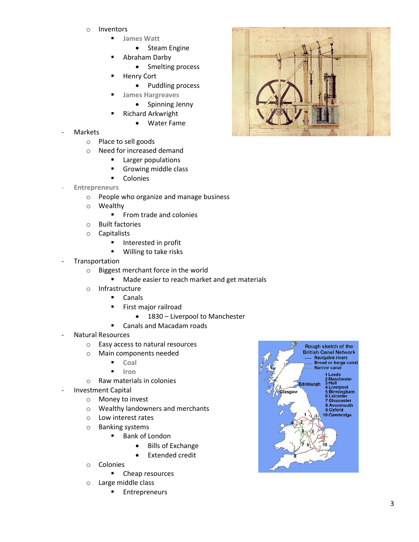- o Inventors
	- **James Watt**
		- Steam Engine
	- Abraham Darby
		- Smelting process
		- Henry Cort
			- Puddling process
	- **James Hargreaves**
		- **•** Spinning Jenny
	- Richard Arkwright
		- Water Fame
- **Markets** 
	- o Place to sell goods
	- o Need for increased demand
		- **Larger populations**
		- Growing middle class
		- **-** Colonies
- **Entrepreneurs**
	- o People who organize and manage business
	- o Wealthy
		- **From trade and colonies**
	- o Built factories
	- o Capitalists
		- **Interested in profit**
		- **Willing to take risks**
- **Transportation** 
	- o Biggest merchant force in the world
		- Made easier to reach market and get materials
	- o Infrastructure
		- Canals
		- **First major railroad** 
			- 1830 Liverpool to Manchester
	- **-** Canals and Macadam roads Natural Resources
- - o Easy access to natural resources
	- o Main components needed
		- **Coal**
		- **I** Iron
	- o Raw materials in colonies
- Investment Capital
	- o Money to invest
	- o Wealthy landowners and merchants
	- o Low interest rates
	- o Banking systems
		- Bank of London
			- Bills of Exchange
			- Extended credit
	- o Colonies
		- **•** Cheap resources
	- o Large middle class
		- **Entrepreneurs**